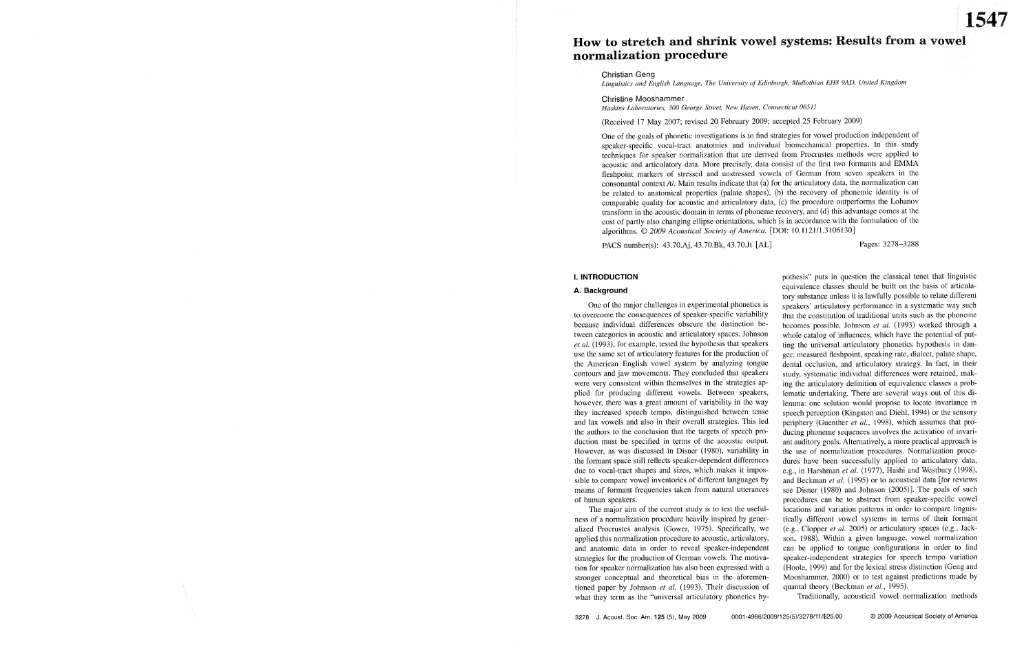# How to stretch and shrink vowel systems: Results from a vowel normalization procedure

**Christian Geng** 

Linguistics and English Language, The University of Edinburgh, Midlothian EH8 9AD, United Kingdom

Christine Mooshammer

Haskins Laboratories, 300 George Street, New Haven, Connecticut 06511

(Received 17 May 2007; revised 20 February 2009; accepted 25 February 2009)

One of the goals of phonetic investigations is to find strategies for vowel production independent of speaker-specific vocal-tract anatomies and individual biomechanical properties. In this study techniques for speaker normalization that are derived from Procrustes methods were applied to acoustic and articulatory data. More precisely, data consist of the first two formants and EMMA fleshpoint markers of stressed and unstressed vowels of German from seven speakers in the consonantal context /t/. Main results indicate that (a) for the articulatory data, the normalization can be related to anatomical properties (palate shapes), (b) the recovery of phonemic identity is of comparable quality for acoustic and articulatory data, (c) the procedure outperforms the Lobanov transform in the acoustic domain in terms of phoneme recovery, and (d) this advantage comes at the cost of partly also changing ellipse orientations, which is in accordance with the formulation of the algorithms. © 2009 Acoustical Society of America. [DOI: 10.1121/1.3106130]

PACS number(s): 43.70.Aj, 43.70.Bk, 43.70.Jt [AL]

# Pages: 3278-3288

### **I. INTRODUCTION**

# A. Background

One of the major challenges in experimental phonetics is to overcome the consequences of speaker-specific variability because individual differences obscure the distinction between categories in acoustic and articulatory spaces. Johnson et al. (1993), for example, tested the hypothesis that speakers use the same set of articulatory features for the production of the American English vowel system by analyzing tongue contours and jaw movements. They concluded that speakers were very consistent within themselves in the strategies applied for producing different vowels. Between speakers, however, there was a great amount of variability in the way they increased speech tempo, distinguished between tense and lax vowels and also in their overall strategies. This led the authors to the conclusion that the targets of speech production must be specified in terms of the acoustic output. However, as was discussed in Disner (1980), variability in the formant space still reflects speaker-dependent differences due to vocal-tract shapes and sizes, which makes it impossible to compare vowel inventories of different languages by means of formant frequencies taken from natural utterances of human speakers.

The major aim of the current study is to test the usefulness of a normalization procedure heavily inspired by generalized Procrustes analysis (Gower, 1975). Specifically, we applied this normalization procedure to acoustic, articulatory, and anatomic data in order to reveal speaker-independent strategies for the production of German vowels. The motivation for speaker normalization has also been expressed with a stronger conceptual and theoretical bias in the aforementioned paper by Johnson et al. (1993). Their discussion of what they term as the "universal articulatory phonetics hypothesis" puts in question the classical tenet that linguistic equivalence classes should be built on the basis of articulatory substance unless it is lawfully possible to relate different speakers' articulatory performance in a systematic way such that the constitution of traditional units such as the phoneme becomes possible. Johnson et al. (1993) worked through a whole catalog of influences, which have the potential of putting the universal articulatory phonetics hypothesis in danger: measured fleshpoint, speaking rate, dialect, palate shape, dental occlusion, and articulatory strategy. In fact, in their study, systematic individual differences were retained, making the articulatory definition of equivalence classes a problematic undertaking. There are several ways out of this dilemma: one solution would propose to locate invariance in speech perception (Kingston and Diehl, 1994) or the sensory periphery (Guenther et al., 1998), which assumes that producing phoneme sequences involves the activation of invariant auditory goals. Alternatively, a more practical approach is the use of normalization procedures. Normalization procedures have been successfully applied to articulatory data, e.g., in Harshman et al. (1977), Hashi and Westbury (1998), and Beckman et al. (1995) or to acoustical data [for reviews see Disner (1980) and Johnson (2005)]. The goals of such procedures can be to abstract from speaker-specific vowel locations and variation patterns in order to compare linguistically different vowel systems in terms of their formant (e.g., Clopper et al. 2005) or articulatory spaces (e.g., Jackson, 1988). Within a given language, vowel normalization can be applied to tongue configurations in order to find speaker-independent strategies for speech tempo variation (Hoole, 1999) and for the lexical stress distinction (Geng and Mooshammer, 2000) or to test against predictions made by quantal theory (Beckman et al., 1995).

Traditionally, acoustical vowel normalization methods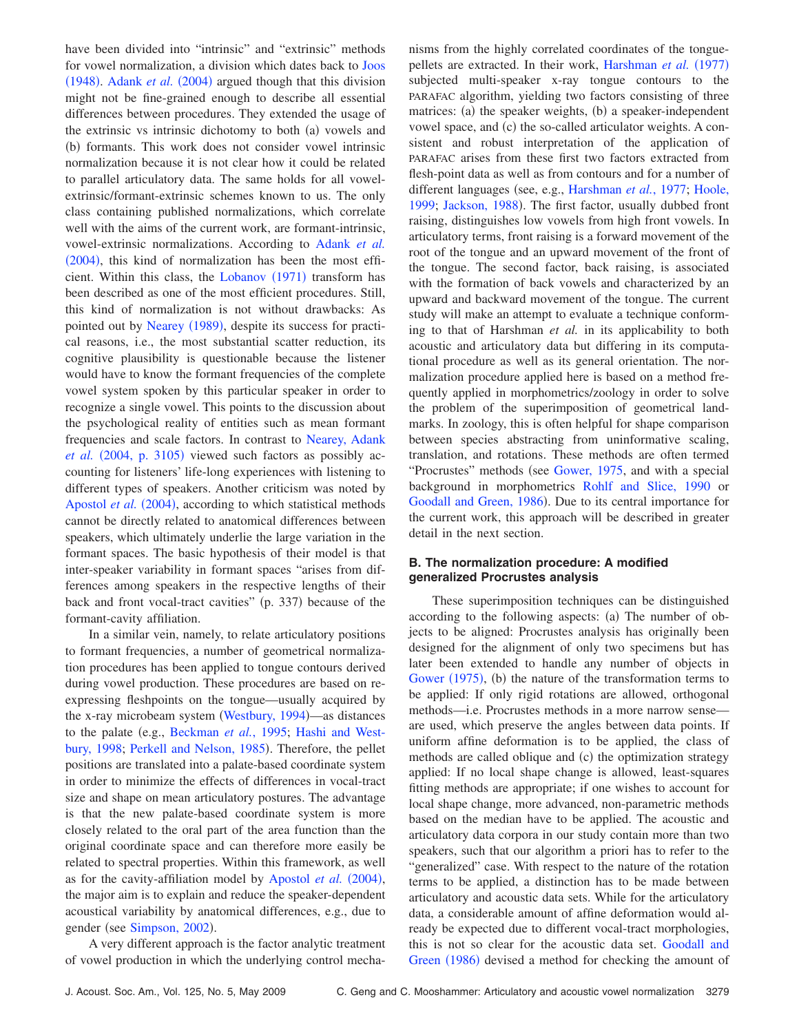have been divided into "intrinsic" and "extrinsic" methods for vowel normalization, a division which dates back to [Joos](#page-10-1)  $(1948)$  $(1948)$  $(1948)$ . [Adank](#page-9-0) *et al.*  $(2004)$  argued though that this division might not be fine-grained enough to describe all essential differences between procedures. They extended the usage of the extrinsic vs intrinsic dichotomy to both (a) vowels and (b) formants. This work does not consider vowel intrinsic normalization because it is not clear how it could be related to parallel articulatory data. The same holds for all vowelextrinsic/formant-extrinsic schemes known to us. The only class containing published normalizations, which correlate well with the aims of the current work, are formant-intrinsic, vowel-extrinsic normalizations. According to [Adank](#page-9-0) *et al.*  $(2004)$  $(2004)$  $(2004)$ , this kind of normalization has been the most effi-cient. Within this class, the [Lobanov](#page-10-2)  $(1971)$  transform has been described as one of the most efficient procedures. Still, this kind of normalization is not without drawbacks: As pointed out by [Nearey](#page-10-3) (1989), despite its success for practical reasons, i.e., the most substantial scatter reduction, its cognitive plausibility is questionable because the listener would have to know the formant frequencies of the complete vowel system spoken by this particular speaker in order to recognize a single vowel. This points to the discussion about the psychological reality of entities such as mean formant frequencies and scale factors. In contrast to [Nearey, Adank](#page-9-0)  $et \ al.$  ([2004, p. 3105](#page-9-0)) viewed such factors as possibly accounting for listeners' life-long experiences with listening to different types of speakers. Another criticism was noted by [Apostol](#page-9-1) *et al.* (2004), according to which statistical methods cannot be directly related to anatomical differences between speakers, which ultimately underlie the large variation in the formant spaces. The basic hypothesis of their model is that inter-speaker variability in formant spaces "arises from differences among speakers in the respective lengths of their back and front vocal-tract cavities" (p. 337) because of the formant-cavity affiliation.

In a similar vein, namely, to relate articulatory positions to formant frequencies, a number of geometrical normalization procedures has been applied to tongue contours derived during vowel production. These procedures are based on reexpressing fleshpoints on the tongue—usually acquired by the x-ray microbeam system ([Westbury, 1994](#page-10-4))—as distances to the palate (e.g., [Beckman](#page-9-2) *et al.*, 1995; [Hashi and West](#page-10-5)[bury, 1998;](#page-10-5) [Perkell and Nelson, 1985](#page-10-6)). Therefore, the pellet positions are translated into a palate-based coordinate system in order to minimize the effects of differences in vocal-tract size and shape on mean articulatory postures. The advantage is that the new palate-based coordinate system is more closely related to the oral part of the area function than the original coordinate space and can therefore more easily be related to spectral properties. Within this framework, as well as for the cavity-affiliation model by [Apostol](#page-9-1) *et al.* (2004), the major aim is to explain and reduce the speaker-dependent acoustical variability by anatomical differences, e.g., due to gender (see [Simpson, 2002](#page-10-7)).

A very different approach is the factor analytic treatment of vowel production in which the underlying control mechanisms from the highly correlated coordinates of the tongue-pellets are extracted. In their work, [Harshman](#page-10-8) et al. (1977) subjected multi-speaker x-ray tongue contours to the PARAFAC algorithm, yielding two factors consisting of three matrices: (a) the speaker weights, (b) a speaker-independent vowel space, and (c) the so-called articulator weights. A consistent and robust interpretation of the application of PARAFAC arises from these first two factors extracted from flesh-point data as well as from contours and for a number of different languages (see, e.g., [Harshman](#page-10-8) *et al.*, 1977; [Hoole,](#page-10-9) [1999;](#page-10-9) [Jackson, 1988](#page-10-10)). The first factor, usually dubbed front raising, distinguishes low vowels from high front vowels. In articulatory terms, front raising is a forward movement of the root of the tongue and an upward movement of the front of the tongue. The second factor, back raising, is associated with the formation of back vowels and characterized by an upward and backward movement of the tongue. The current study will make an attempt to evaluate a technique conforming to that of Harshman *et al.* in its applicability to both acoustic and articulatory data but differing in its computational procedure as well as its general orientation. The normalization procedure applied here is based on a method frequently applied in morphometrics/zoology in order to solve the problem of the superimposition of geometrical landmarks. In zoology, this is often helpful for shape comparison between species abstracting from uninformative scaling, translation, and rotations. These methods are often termed "Procrustes" methods (see [Gower, 1975,](#page-10-11) and with a special background in morphometrics [Rohlf and Slice, 1990](#page-10-12) or [Goodall and Green, 1986](#page-10-0)). Due to its central importance for the current work, this approach will be described in greater detail in the next section.

# **B. The normalization procedure: A modified generalized Procrustes analysis**

These superimposition techniques can be distinguished according to the following aspects: (a) The number of objects to be aligned: Procrustes analysis has originally been designed for the alignment of only two specimens but has later been extended to handle any number of objects in [Gower](#page-10-11)  $(1975)$ , (b) the nature of the transformation terms to be applied: If only rigid rotations are allowed, orthogonal methods—i.e. Procrustes methods in a more narrow sense are used, which preserve the angles between data points. If uniform affine deformation is to be applied, the class of methods are called oblique and  $(c)$  the optimization strategy applied: If no local shape change is allowed, least-squares fitting methods are appropriate; if one wishes to account for local shape change, more advanced, non-parametric methods based on the median have to be applied. The acoustic and articulatory data corpora in our study contain more than two speakers, such that our algorithm a priori has to refer to the "generalized" case. With respect to the nature of the rotation terms to be applied, a distinction has to be made between articulatory and acoustic data sets. While for the articulatory data, a considerable amount of affine deformation would already be expected due to different vocal-tract morphologies, this is not so clear for the acoustic data set. [Goodall and](#page-10-0) [Green](#page-10-0) (1986) devised a method for checking the amount of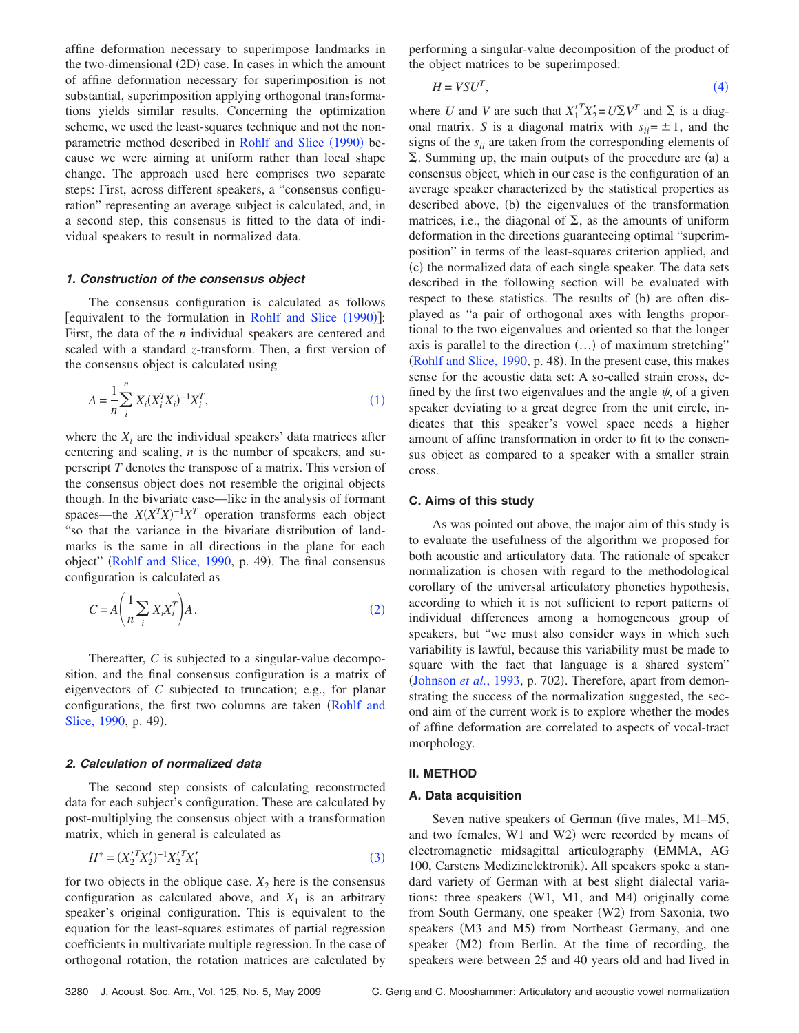affine deformation necessary to superimpose landmarks in the two-dimensional  $(2D)$  case. In cases in which the amount of affine deformation necessary for superimposition is not substantial, superimposition applying orthogonal transformations yields similar results. Concerning the optimization scheme, we used the least-squares technique and not the non-parametric method described in [Rohlf and Slice](#page-10-12) (1990) because we were aiming at uniform rather than local shape change. The approach used here comprises two separate steps: First, across different speakers, a "consensus configuration" representing an average subject is calculated, and, in a second step, this consensus is fitted to the data of individual speakers to result in normalized data.

### **1. Construction of the consensus object**

The consensus configuration is calculated as follows [equivalent to the formulation in [Rohlf and Slice](#page-10-12)  $(1990)$ ]: First, the data of the *n* individual speakers are centered and scaled with a standard *z*-transform. Then, a first version of the consensus object is calculated using

<span id="page-2-0"></span>
$$
A = \frac{1}{n} \sum_{i}^{n} X_i (X_i^T X_i)^{-1} X_i^T,
$$
\n(1)

where the  $X_i$  are the individual speakers' data matrices after centering and scaling, *n* is the number of speakers, and superscript *T* denotes the transpose of a matrix. This version of the consensus object does not resemble the original objects though. In the bivariate case—like in the analysis of formant spaces—the  $X(X^T X)^{-1} X^T$  operation transforms each object "so that the variance in the bivariate distribution of landmarks is the same in all directions in the plane for each object" ([Rohlf and Slice, 1990,](#page-10-12) p. 49). The final consensus configuration is calculated as

<span id="page-2-1"></span>
$$
C = A \left( \frac{1}{n} \sum_{i} X_{i} X_{i}^{T} \right) A. \tag{2}
$$

Thereafter, *C* is subjected to a singular-value decomposition, and the final consensus configuration is a matrix of eigenvectors of *C* subjected to truncation; e.g., for planar configurations, the first two columns are taken ([Rohlf and](#page-10-12) [Slice, 1990,](#page-10-12) p. 49).

#### **2. Calculation of normalized data**

The second step consists of calculating reconstructed data for each subject's configuration. These are calculated by post-multiplying the consensus object with a transformation matrix, which in general is calculated as

$$
H^* = (X_2^{\prime T} X_2^{\prime})^{-1} X_2^{\prime T} X_1^{\prime}
$$
 (3)

<span id="page-2-2"></span>for two objects in the oblique case.  $X_2$  here is the consensus configuration as calculated above, and  $X_1$  is an arbitrary speaker's original configuration. This is equivalent to the equation for the least-squares estimates of partial regression coefficients in multivariate multiple regression. In the case of orthogonal rotation, the rotation matrices are calculated by performing a singular-value decomposition of the product of the object matrices to be superimposed:

$$
H = VSU^T,\tag{4}
$$

<span id="page-2-3"></span>where *U* and *V* are such that  $X_1^T X_2^{\prime} = U \Sigma V^T$  and  $\Sigma$  is a diagonal matrix. *S* is a diagonal matrix with  $s_{ii} = \pm 1$ , and the signs of the  $s_{ii}$  are taken from the corresponding elements of  $\Sigma$ . Summing up, the main outputs of the procedure are (a) a consensus object, which in our case is the configuration of an average speaker characterized by the statistical properties as described above, (b) the eigenvalues of the transformation matrices, i.e., the diagonal of  $\Sigma$ , as the amounts of uniform deformation in the directions guaranteeing optimal "superimposition" in terms of the least-squares criterion applied, and (c) the normalized data of each single speaker. The data sets described in the following section will be evaluated with respect to these statistics. The results of (b) are often displayed as "a pair of orthogonal axes with lengths proportional to the two eigenvalues and oriented so that the longer axis is parallel to the direction  $(...)$  of maximum stretching" ([Rohlf and Slice, 1990,](#page-10-12) p. 48). In the present case, this makes sense for the acoustic data set: A so-called strain cross, defined by the first two eigenvalues and the angle  $\psi$ , of a given speaker deviating to a great degree from the unit circle, indicates that this speaker's vowel space needs a higher amount of affine transformation in order to fit to the consensus object as compared to a speaker with a smaller strain cross.

#### **C. Aims of this study**

As was pointed out above, the major aim of this study is to evaluate the usefulness of the algorithm we proposed for both acoustic and articulatory data. The rationale of speaker normalization is chosen with regard to the methodological corollary of the universal articulatory phonetics hypothesis, according to which it is not sufficient to report patterns of individual differences among a homogeneous group of speakers, but "we must also consider ways in which such variability is lawful, because this variability must be made to square with the fact that language is a shared system" ([Johnson](#page-10-13) *et al.*, 1993, p. 702). Therefore, apart from demonstrating the success of the normalization suggested, the second aim of the current work is to explore whether the modes of affine deformation are correlated to aspects of vocal-tract morphology.

# **II. METHOD**

### **A. Data acquisition**

Seven native speakers of German (five males, M1–M5, and two females, W1 and W2) were recorded by means of electromagnetic midsagittal articulography (EMMA, AG 100, Carstens Medizinelektronik). All speakers spoke a standard variety of German with at best slight dialectal variations: three speakers  $(W1, M1, and M4)$  originally come from South Germany, one speaker (W2) from Saxonia, two speakers (M3 and M5) from Northeast Germany, and one speaker (M2) from Berlin. At the time of recording, the speakers were between 25 and 40 years old and had lived in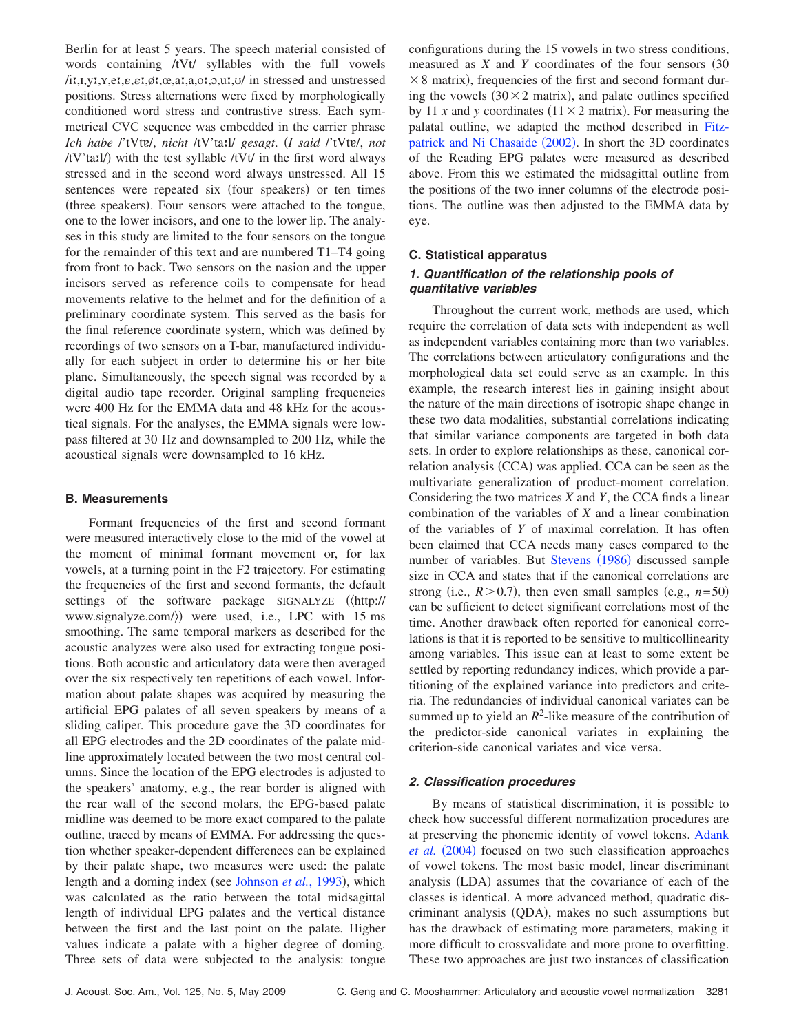Berlin for at least 5 years. The speech material consisted of words containing /tVt/ syllables with the full vowels  $(i, I, V, Y, P, E, \varepsilon, \varepsilon, \varphi, \alpha, \alpha, a, o, o, u, u)$  in stressed and unstressed positions. Stress alternations were fixed by morphologically conditioned word stress and contrastive stress. Each symmetrical CVC sequence was embedded in the carrier phrase *Ich habe l'tVtvl, nicht /tV'tail/ gesagt. (I said l'tVtvl, not* /tV'tatl/) with the test syllable /tVt/ in the first word always stressed and in the second word always unstressed. All 15 sentences were repeated six (four speakers) or ten times (three speakers). Four sensors were attached to the tongue, one to the lower incisors, and one to the lower lip. The analyses in this study are limited to the four sensors on the tongue for the remainder of this text and are numbered T1–T4 going from front to back. Two sensors on the nasion and the upper incisors served as reference coils to compensate for head movements relative to the helmet and for the definition of a preliminary coordinate system. This served as the basis for the final reference coordinate system, which was defined by recordings of two sensors on a T-bar, manufactured individually for each subject in order to determine his or her bite plane. Simultaneously, the speech signal was recorded by a digital audio tape recorder. Original sampling frequencies were 400 Hz for the EMMA data and 48 kHz for the acoustical signals. For the analyses, the EMMA signals were lowpass filtered at 30 Hz and downsampled to 200 Hz, while the acoustical signals were downsampled to 16 kHz.

### **B. Measurements**

Formant frequencies of the first and second formant were measured interactively close to the mid of the vowel at the moment of minimal formant movement or, for lax vowels, at a turning point in the F2 trajectory. For estimating the frequencies of the first and second formants, the default settings of the software package SIGNALYZE ( $\langle$ http:// www.signalyze.com/ $\rangle$  were used, i.e., LPC with 15 ms smoothing. The same temporal markers as described for the acoustic analyzes were also used for extracting tongue positions. Both acoustic and articulatory data were then averaged over the six respectively ten repetitions of each vowel. Information about palate shapes was acquired by measuring the artificial EPG palates of all seven speakers by means of a sliding caliper. This procedure gave the 3D coordinates for all EPG electrodes and the 2D coordinates of the palate midline approximately located between the two most central columns. Since the location of the EPG electrodes is adjusted to the speakers' anatomy, e.g., the rear border is aligned with the rear wall of the second molars, the EPG-based palate midline was deemed to be more exact compared to the palate outline, traced by means of EMMA. For addressing the question whether speaker-dependent differences can be explained by their palate shape, two measures were used: the palate length and a doming index (see [Johnson](#page-10-13) et al., 1993), which was calculated as the ratio between the total midsagittal length of individual EPG palates and the vertical distance between the first and the last point on the palate. Higher values indicate a palate with a higher degree of doming. Three sets of data were subjected to the analysis: tongue

configurations during the 15 vowels in two stress conditions, measured as  $X$  and  $Y$  coordinates of the four sensors  $(30)$  $\times$  8 matrix), frequencies of the first and second formant during the vowels  $(30 \times 2 \text{ matrix})$ , and palate outlines specified by 11 *x* and *y* coordinates  $(11 \times 2 \text{ matrix})$ . For measuring the palatal outline, we adapted the method described in [Fitz](#page-9-3)[patrick and Ni Chasaide](#page-9-3) (2002). In short the 3D coordinates of the Reading EPG palates were measured as described above. From this we estimated the midsagittal outline from the positions of the two inner columns of the electrode positions. The outline was then adjusted to the EMMA data by eye.

# **C. Statistical apparatus**

# **1. Quantification of the relationship pools of quantitative variables**

Throughout the current work, methods are used, which require the correlation of data sets with independent as well as independent variables containing more than two variables. The correlations between articulatory configurations and the morphological data set could serve as an example. In this example, the research interest lies in gaining insight about the nature of the main directions of isotropic shape change in these two data modalities, substantial correlations indicating that similar variance components are targeted in both data sets. In order to explore relationships as these, canonical correlation analysis (CCA) was applied. CCA can be seen as the multivariate generalization of product-moment correlation. Considering the two matrices *X* and *Y*, the CCA finds a linear combination of the variables of *X* and a linear combination of the variables of *Y* of maximal correlation. It has often been claimed that CCA needs many cases compared to the number of variables. But [Stevens](#page-10-14) (1986) discussed sample size in CCA and states that if the canonical correlations are strong (i.e.,  $R > 0.7$ ), then even small samples (e.g.,  $n=50$ ) can be sufficient to detect significant correlations most of the time. Another drawback often reported for canonical correlations is that it is reported to be sensitive to multicollinearity among variables. This issue can at least to some extent be settled by reporting redundancy indices, which provide a partitioning of the explained variance into predictors and criteria. The redundancies of individual canonical variates can be summed up to yield an  $R^2$ -like measure of the contribution of the predictor-side canonical variates in explaining the criterion-side canonical variates and vice versa.

# **2. Classification procedures**

By means of statistical discrimination, it is possible to check how successful different normalization procedures are at preserving the phonemic identity of vowel tokens. [Adank](#page-9-0) *[et al.](#page-9-0)* (2004) focused on two such classification approaches of vowel tokens. The most basic model, linear discriminant analysis (LDA) assumes that the covariance of each of the classes is identical. A more advanced method, quadratic discriminant analysis (QDA), makes no such assumptions but has the drawback of estimating more parameters, making it more difficult to crossvalidate and more prone to overfitting. These two approaches are just two instances of classification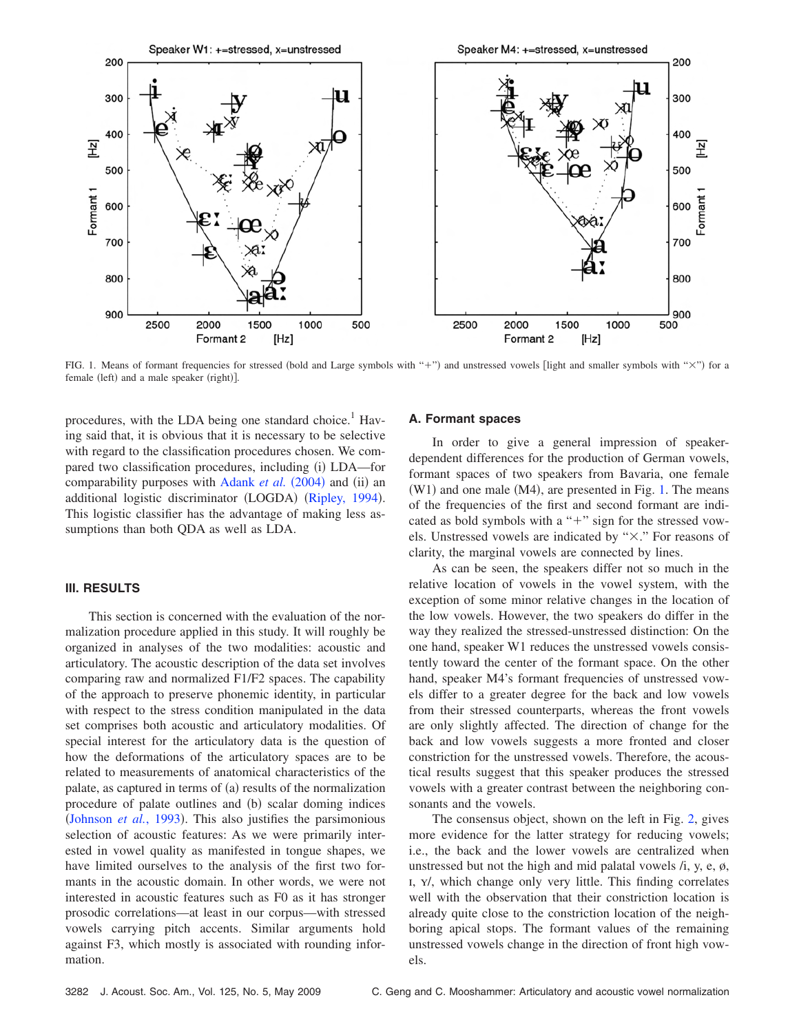<span id="page-4-0"></span>

FIG. 1. Means of formant frequencies for stressed (bold and Large symbols with "+") and unstressed vowels [light and smaller symbols with "×") for a female (left) and a male speaker (right)].

procedures, with the LDA being one standard choice.<sup>1</sup> Having said that, it is obvious that it is necessary to be selective with regard to the classification procedures chosen. We compared two classification procedures, including (i) LDA—for comparability purposes with [Adank](#page-9-0) *et al.* (2004) and (ii) an additional logistic discriminator (LOGDA) ([Ripley, 1994](#page-10-15)). This logistic classifier has the advantage of making less assumptions than both QDA as well as LDA.

### **III. RESULTS**

This section is concerned with the evaluation of the normalization procedure applied in this study. It will roughly be organized in analyses of the two modalities: acoustic and articulatory. The acoustic description of the data set involves comparing raw and normalized F1/F2 spaces. The capability of the approach to preserve phonemic identity, in particular with respect to the stress condition manipulated in the data set comprises both acoustic and articulatory modalities. Of special interest for the articulatory data is the question of how the deformations of the articulatory spaces are to be related to measurements of anatomical characteristics of the palate, as captured in terms of (a) results of the normalization procedure of palate outlines and (b) scalar doming indices ([Johnson](#page-10-13) *et al.*, 1993). This also justifies the parsimonious selection of acoustic features: As we were primarily interested in vowel quality as manifested in tongue shapes, we have limited ourselves to the analysis of the first two formants in the acoustic domain. In other words, we were not interested in acoustic features such as F0 as it has stronger prosodic correlations—at least in our corpus—with stressed vowels carrying pitch accents. Similar arguments hold against F3, which mostly is associated with rounding information.

#### **A. Formant spaces**

In order to give a general impression of speakerdependent differences for the production of German vowels, formant spaces of two speakers from Bavaria, one female  $(W1)$  and one male  $(M4)$ , are presented in Fig. [1.](#page-4-0) The means of the frequencies of the first and second formant are indicated as bold symbols with a " $+$ " sign for the stressed vowels. Unstressed vowels are indicated by "%." For reasons of clarity, the marginal vowels are connected by lines.

As can be seen, the speakers differ not so much in the relative location of vowels in the vowel system, with the exception of some minor relative changes in the location of the low vowels. However, the two speakers do differ in the way they realized the stressed-unstressed distinction: On the one hand, speaker W1 reduces the unstressed vowels consistently toward the center of the formant space. On the other hand, speaker M4's formant frequencies of unstressed vowels differ to a greater degree for the back and low vowels from their stressed counterparts, whereas the front vowels are only slightly affected. The direction of change for the back and low vowels suggests a more fronted and closer constriction for the unstressed vowels. Therefore, the acoustical results suggest that this speaker produces the stressed vowels with a greater contrast between the neighboring consonants and the vowels.

The consensus object, shown on the left in Fig. [2,](#page-5-0) gives more evidence for the latter strategy for reducing vowels; i.e., the back and the lower vowels are centralized when unstressed but not the high and mid palatal vowels /i, y, e, ø, I, Y/, which change only very little. This finding correlates well with the observation that their constriction location is already quite close to the constriction location of the neighboring apical stops. The formant values of the remaining unstressed vowels change in the direction of front high vowels.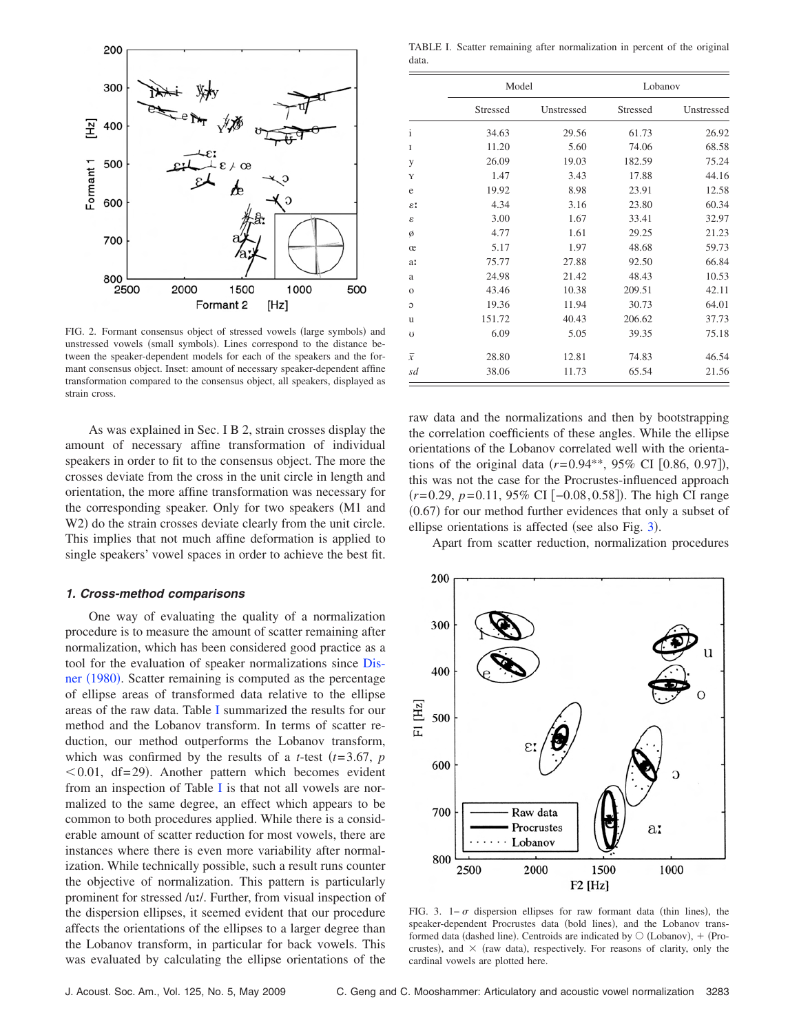<span id="page-5-0"></span>

FIG. 2. Formant consensus object of stressed vowels (large symbols) and unstressed vowels (small symbols). Lines correspond to the distance between the speaker-dependent models for each of the speakers and the formant consensus object. Inset: amount of necessary speaker-dependent affine transformation compared to the consensus object, all speakers, displayed as strain cross.

As was explained in Sec. I B 2, strain crosses display the amount of necessary affine transformation of individual speakers in order to fit to the consensus object. The more the crosses deviate from the cross in the unit circle in length and orientation, the more affine transformation was necessary for the corresponding speaker. Only for two speakers (M1 and W2) do the strain crosses deviate clearly from the unit circle. This implies that not much affine deformation is applied to single speakers' vowel spaces in order to achieve the best fit.

#### **1. Cross-method comparisons**

One way of evaluating the quality of a normalization procedure is to measure the amount of scatter remaining after normalization, which has been considered good practice as a tool for the evaluation of speaker normalizations since [Dis](#page-9-4)ner  $(1980)$  $(1980)$  $(1980)$ . Scatter remaining is computed as the percentage of ellipse areas of transformed data relative to the ellipse areas of the raw data. Table [I](#page-5-2) summarized the results for our method and the Lobanov transform. In terms of scatter reduction, our method outperforms the Lobanov transform, which was confirmed by the results of a *t*-test  $(t=3.67, p)$  $< 0.01$ , df= 29). Another pattern which becomes evident from an inspection of Table [I](#page-5-2) is that not all vowels are normalized to the same degree, an effect which appears to be common to both procedures applied. While there is a considerable amount of scatter reduction for most vowels, there are instances where there is even more variability after normalization. While technically possible, such a result runs counter the objective of normalization. This pattern is particularly prominent for stressed /uː/. Further, from visual inspection of the dispersion ellipses, it seemed evident that our procedure affects the orientations of the ellipses to a larger degree than the Lobanov transform, in particular for back vowels. This was evaluated by calculating the ellipse orientations of the

<span id="page-5-2"></span>TABLE I. Scatter remaining after normalization in percent of the original data.

|                | Model    |            | Lobanov  |            |
|----------------|----------|------------|----------|------------|
|                | Stressed | Unstressed | Stressed | Unstressed |
| $\mathbf{i}$   | 34.63    | 29.56      | 61.73    | 26.92      |
| I              | 11.20    | 5.60       | 74.06    | 68.58      |
| y              | 26.09    | 19.03      | 182.59   | 75.24      |
| Y              | 1.47     | 3.43       | 17.88    | 44.16      |
| e              | 19.92    | 8.98       | 23.91    | 12.58      |
| εI             | 4.34     | 3.16       | 23.80    | 60.34      |
| ε              | 3.00     | 1.67       | 33.41    | 32.97      |
| ø              | 4.77     | 1.61       | 29.25    | 21.23      |
| œ              | 5.17     | 1.97       | 48.68    | 59.73      |
| a:             | 75.77    | 27.88      | 92.50    | 66.84      |
| a              | 24.98    | 21.42      | 48.43    | 10.53      |
| $\mathbf{O}$   | 43.46    | 10.38      | 209.51   | 42.11      |
| C              | 19.36    | 11.94      | 30.73    | 64.01      |
| u              | 151.72   | 40.43      | 206.62   | 37.73      |
| Ü              | 6.09     | 5.05       | 39.35    | 75.18      |
| $\overline{x}$ | 28.80    | 12.81      | 74.83    | 46.54      |
| sd             | 38.06    | 11.73      | 65.54    | 21.56      |

raw data and the normalizations and then by bootstrapping the correlation coefficients of these angles. While the ellipse orientations of the Lobanov correlated well with the orientations of the original data  $(r= 0.94^{**}, 95\% \text{ CI} [0.86, 0.97]),$ this was not the case for the Procrustes-influenced approach *(r*=0.29, *p*=0.11, 95% CI [−0.08, 0.58]). The high CI range  $(0.67)$  for our method further evidences that only a subset of ellipse orientations is affected (see also Fig.  $3$ ).

Apart from scatter reduction, normalization procedures

<span id="page-5-1"></span>

FIG. 3. 1– $\sigma$  dispersion ellipses for raw formant data (thin lines), the speaker-dependent Procrustes data (bold lines), and the Lobanov transformed data (dashed line). Centroids are indicated by  $\bigcirc$  (Lobanov), + (Procrustes), and  $\times$  (raw data), respectively. For reasons of clarity, only the cardinal vowels are plotted here.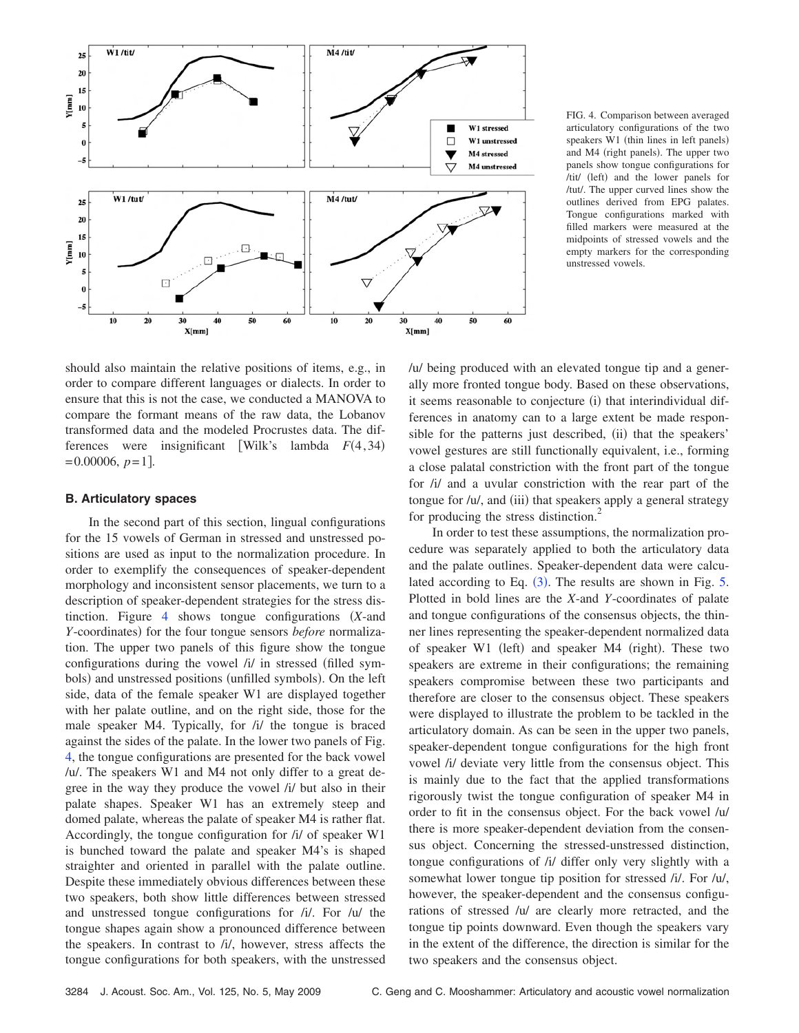<span id="page-6-0"></span>

FIG. 4. Comparison between averaged articulatory configurations of the two speakers W1 (thin lines in left panels) and M4 (right panels). The upper two panels show tongue configurations for /tit/ (left) and the lower panels for /tut/. The upper curved lines show the outlines derived from EPG palates. Tongue configurations marked with filled markers were measured at the midpoints of stressed vowels and the empty markers for the corresponding unstressed vowels.

should also maintain the relative positions of items, e.g., in order to compare different languages or dialects. In order to ensure that this is not the case, we conducted a MANOVA to compare the formant means of the raw data, the Lobanov transformed data and the modeled Procrustes data. The differences were insignificant [Wilk's lambda  $F(4, 34)$  $= 0.00006, p = 1$ .

# **B. Articulatory spaces**

In the second part of this section, lingual configurations for the 15 vowels of German in stressed and unstressed positions are used as input to the normalization procedure. In order to exemplify the consequences of speaker-dependent morphology and inconsistent sensor placements, we turn to a description of speaker-dependent strategies for the stress dis-tinction. Figure [4](#page-6-0) shows tongue configurations (*X*-and *Y*-coordinates) for the four tongue sensors *before* normalization. The upper two panels of this figure show the tongue configurations during the vowel  $\lambda i$  in stressed (filled symbols) and unstressed positions (unfilled symbols). On the left side, data of the female speaker W1 are displayed together with her palate outline, and on the right side, those for the male speaker M4. Typically, for /i/ the tongue is braced against the sides of the palate. In the lower two panels of Fig. [4,](#page-6-0) the tongue configurations are presented for the back vowel /u/. The speakers W1 and M4 not only differ to a great degree in the way they produce the vowel /i/ but also in their palate shapes. Speaker W1 has an extremely steep and domed palate, whereas the palate of speaker M4 is rather flat. Accordingly, the tongue configuration for /i/ of speaker W1 is bunched toward the palate and speaker M4's is shaped straighter and oriented in parallel with the palate outline. Despite these immediately obvious differences between these two speakers, both show little differences between stressed and unstressed tongue configurations for /i/. For /u/ the tongue shapes again show a pronounced difference between the speakers. In contrast to /i/, however, stress affects the tongue configurations for both speakers, with the unstressed /u/ being produced with an elevated tongue tip and a generally more fronted tongue body. Based on these observations, it seems reasonable to conjecture (i) that interindividual differences in anatomy can to a large extent be made responsible for the patterns just described, (ii) that the speakers' vowel gestures are still functionally equivalent, i.e., forming a close palatal constriction with the front part of the tongue for /i/ and a uvular constriction with the rear part of the tongue for  $/u$ , and (iii) that speakers apply a general strategy for producing the stress distinction.<sup>2</sup>

In order to test these assumptions, the normalization procedure was separately applied to both the articulatory data and the palate outlines. Speaker-dependent data were calculated according to Eq.  $(3)$  $(3)$  $(3)$ . The results are shown in Fig. [5.](#page-7-0) Plotted in bold lines are the *X*-and *Y*-coordinates of palate and tongue configurations of the consensus objects, the thinner lines representing the speaker-dependent normalized data of speaker  $W1$  (left) and speaker  $M4$  (right). These two speakers are extreme in their configurations; the remaining speakers compromise between these two participants and therefore are closer to the consensus object. These speakers were displayed to illustrate the problem to be tackled in the articulatory domain. As can be seen in the upper two panels, speaker-dependent tongue configurations for the high front vowel /i/ deviate very little from the consensus object. This is mainly due to the fact that the applied transformations rigorously twist the tongue configuration of speaker M4 in order to fit in the consensus object. For the back vowel /u/ there is more speaker-dependent deviation from the consensus object. Concerning the stressed-unstressed distinction, tongue configurations of /i/ differ only very slightly with a somewhat lower tongue tip position for stressed /i/. For /u/, however, the speaker-dependent and the consensus configurations of stressed /u/ are clearly more retracted, and the tongue tip points downward. Even though the speakers vary in the extent of the difference, the direction is similar for the two speakers and the consensus object.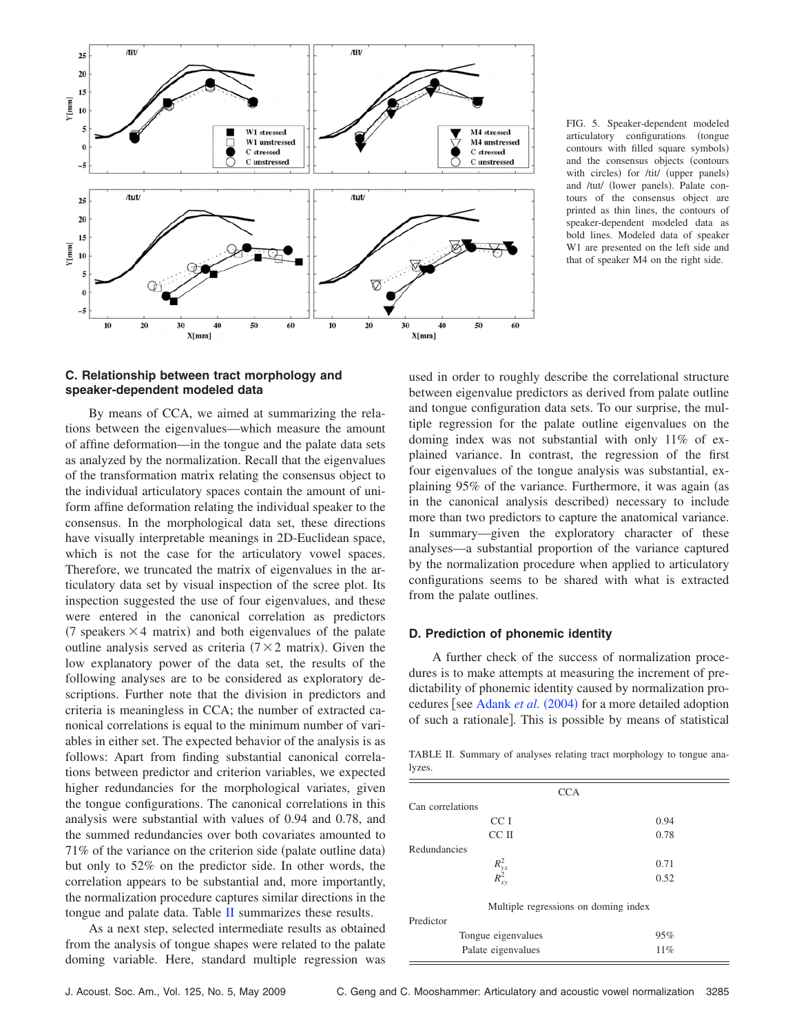<span id="page-7-0"></span>

FIG. 5. Speaker-dependent modeled articulatory configurations (tongue contours with filled square symbols) and the consensus objects (contours with circles) for /tit/ (upper panels) and /tut/ (lower panels). Palate contours of the consensus object are printed as thin lines, the contours of speaker-dependent modeled data as bold lines. Modeled data of speaker W1 are presented on the left side and that of speaker M4 on the right side.

# **C. Relationship between tract morphology and speaker-dependent modeled data**

By means of CCA, we aimed at summarizing the relations between the eigenvalues—which measure the amount of affine deformation—in the tongue and the palate data sets as analyzed by the normalization. Recall that the eigenvalues of the transformation matrix relating the consensus object to the individual articulatory spaces contain the amount of uniform affine deformation relating the individual speaker to the consensus. In the morphological data set, these directions have visually interpretable meanings in 2D-Euclidean space, which is not the case for the articulatory vowel spaces. Therefore, we truncated the matrix of eigenvalues in the articulatory data set by visual inspection of the scree plot. Its inspection suggested the use of four eigenvalues, and these were entered in the canonical correlation as predictors (7 speakers  $\times$  4 matrix) and both eigenvalues of the palate outline analysis served as criteria  $(7 \times 2 \text{ matrix})$ . Given the low explanatory power of the data set, the results of the following analyses are to be considered as exploratory descriptions. Further note that the division in predictors and criteria is meaningless in CCA; the number of extracted canonical correlations is equal to the minimum number of variables in either set. The expected behavior of the analysis is as follows: Apart from finding substantial canonical correlations between predictor and criterion variables, we expected higher redundancies for the morphological variates, given the tongue configurations. The canonical correlations in this analysis were substantial with values of 0.94 and 0.78, and the summed redundancies over both covariates amounted to  $71\%$  of the variance on the criterion side (palate outline data) but only to 52% on the predictor side. In other words, the correlation appears to be substantial and, more importantly, the normalization procedure captures similar directions in the tongue and palate data. Table [II](#page-7-1) summarizes these results.

As a next step, selected intermediate results as obtained from the analysis of tongue shapes were related to the palate doming variable. Here, standard multiple regression was used in order to roughly describe the correlational structure between eigenvalue predictors as derived from palate outline and tongue configuration data sets. To our surprise, the multiple regression for the palate outline eigenvalues on the doming index was not substantial with only 11% of explained variance. In contrast, the regression of the first four eigenvalues of the tongue analysis was substantial, explaining 95% of the variance. Furthermore, it was again (as in the canonical analysis described) necessary to include more than two predictors to capture the anatomical variance. In summary—given the exploratory character of these analyses—a substantial proportion of the variance captured by the normalization procedure when applied to articulatory configurations seems to be shared with what is extracted from the palate outlines.

### **D. Prediction of phonemic identity**

A further check of the success of normalization procedures is to make attempts at measuring the increment of predictability of phonemic identity caused by normalization pro-cedures [see [Adank](#page-9-0) *et al.* (2004) for a more detailed adoption of such a rationale. This is possible by means of statistical

<span id="page-7-1"></span>TABLE II. Summary of analyses relating tract morphology to tongue analyzes.

| <b>CCA</b>                           |      |  |  |  |  |  |
|--------------------------------------|------|--|--|--|--|--|
| Can correlations                     |      |  |  |  |  |  |
| CC I                                 | 0.94 |  |  |  |  |  |
| CC II                                | 0.78 |  |  |  |  |  |
| Redundancies                         |      |  |  |  |  |  |
| $R_{yx}^2$<br>$R_{xy}^2$             | 0.71 |  |  |  |  |  |
|                                      | 0.52 |  |  |  |  |  |
| Multiple regressions on doming index |      |  |  |  |  |  |
| Predictor                            |      |  |  |  |  |  |
| Tongue eigenvalues                   | 95%  |  |  |  |  |  |
| Palate eigenvalues                   | 11%  |  |  |  |  |  |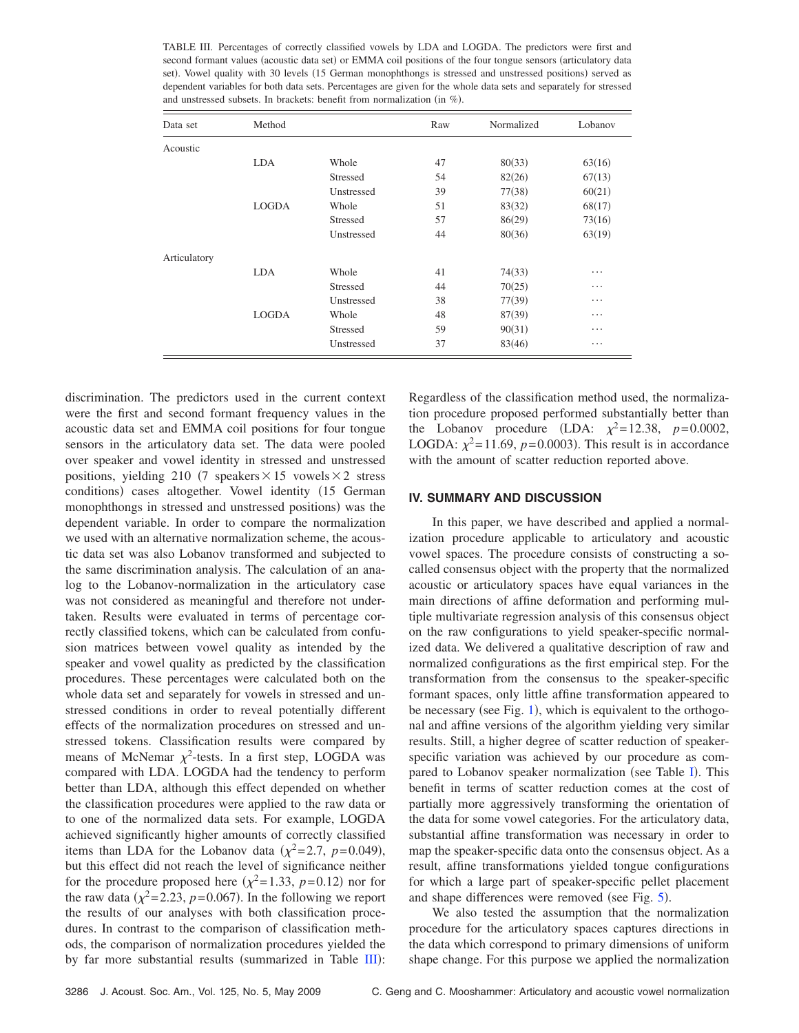<span id="page-8-0"></span>TABLE III. Percentages of correctly classified vowels by LDA and LOGDA. The predictors were first and second formant values (acoustic data set) or EMMA coil positions of the four tongue sensors (articulatory data set). Vowel quality with 30 levels (15 German monophthongs is stressed and unstressed positions) served as dependent variables for both data sets. Percentages are given for the whole data sets and separately for stressed and unstressed subsets. In brackets: benefit from normalization (in  $\%$ ).

| Data set     | Method       |            | Raw | Normalized | Lobanov |
|--------------|--------------|------------|-----|------------|---------|
| Acoustic     |              |            |     |            |         |
|              | <b>LDA</b>   | Whole      | 47  | 80(33)     | 63(16)  |
|              |              | Stressed   | 54  | 82(26)     | 67(13)  |
|              |              | Unstressed | 39  | 77(38)     | 60(21)  |
|              | <b>LOGDA</b> | Whole      | 51  | 83(32)     | 68(17)  |
|              |              | Stressed   | 57  | 86(29)     | 73(16)  |
|              |              | Unstressed | 44  | 80(36)     | 63(19)  |
| Articulatory |              |            |     |            |         |
|              | <b>LDA</b>   | Whole      | 41  | 74(33)     | .       |
|              |              | Stressed   | 44  | 70(25)     | .       |
|              |              | Unstressed | 38  | 77(39)     | .       |
|              | <b>LOGDA</b> | Whole      | 48  | 87(39)     | .       |
|              |              | Stressed   | 59  | 90(31)     | .       |
|              |              | Unstressed | 37  | 83(46)     | .       |

discrimination. The predictors used in the current context were the first and second formant frequency values in the acoustic data set and EMMA coil positions for four tongue sensors in the articulatory data set. The data were pooled over speaker and vowel identity in stressed and unstressed positions, yielding 210 (7 speakers  $\times$  15 vowels  $\times$  2 stress conditions) cases altogether. Vowel identity (15 German monophthongs in stressed and unstressed positions) was the dependent variable. In order to compare the normalization we used with an alternative normalization scheme, the acoustic data set was also Lobanov transformed and subjected to the same discrimination analysis. The calculation of an analog to the Lobanov-normalization in the articulatory case was not considered as meaningful and therefore not undertaken. Results were evaluated in terms of percentage correctly classified tokens, which can be calculated from confusion matrices between vowel quality as intended by the speaker and vowel quality as predicted by the classification procedures. These percentages were calculated both on the whole data set and separately for vowels in stressed and unstressed conditions in order to reveal potentially different effects of the normalization procedures on stressed and unstressed tokens. Classification results were compared by means of McNemar  $\chi^2$ -tests. In a first step, LOGDA was compared with LDA. LOGDA had the tendency to perform better than LDA, although this effect depended on whether the classification procedures were applied to the raw data or to one of the normalized data sets. For example, LOGDA achieved significantly higher amounts of correctly classified items than LDA for the Lobanov data  $(\chi^2=2.7, p=0.049)$ , but this effect did not reach the level of significance neither for the procedure proposed here  $(\chi^2=1.33, p=0.12)$  nor for the raw data  $(\chi^2 = 2.23, p = 0.067)$ . In the following we report the results of our analyses with both classification procedures. In contrast to the comparison of classification methods, the comparison of normalization procedures yielded the by far more substantial results (summarized in Table  $III$ ):

Regardless of the classification method used, the normalization procedure proposed performed substantially better than the Lobanov procedure (LDA:  $\chi^2 = 12.38$ ,  $p = 0.0002$ , LOGDA:  $\chi^2$ =11.69, *p*=0.0003). This result is in accordance with the amount of scatter reduction reported above.

# **IV. SUMMARY AND DISCUSSION**

In this paper, we have described and applied a normalization procedure applicable to articulatory and acoustic vowel spaces. The procedure consists of constructing a socalled consensus object with the property that the normalized acoustic or articulatory spaces have equal variances in the main directions of affine deformation and performing multiple multivariate regression analysis of this consensus object on the raw configurations to yield speaker-specific normalized data. We delivered a qualitative description of raw and normalized configurations as the first empirical step. For the transformation from the consensus to the speaker-specific formant spaces, only little affine transformation appeared to be necessary (see Fig. [1](#page-4-0)), which is equivalent to the orthogonal and affine versions of the algorithm yielding very similar results. Still, a higher degree of scatter reduction of speakerspecific variation was achieved by our procedure as com-pared to Lobanov speaker normalization (see Table [I](#page-5-2)). This benefit in terms of scatter reduction comes at the cost of partially more aggressively transforming the orientation of the data for some vowel categories. For the articulatory data, substantial affine transformation was necessary in order to map the speaker-specific data onto the consensus object. As a result, affine transformations yielded tongue configurations for which a large part of speaker-specific pellet placement and shape differences were removed (see Fig.  $5$ ).

We also tested the assumption that the normalization procedure for the articulatory spaces captures directions in the data which correspond to primary dimensions of uniform shape change. For this purpose we applied the normalization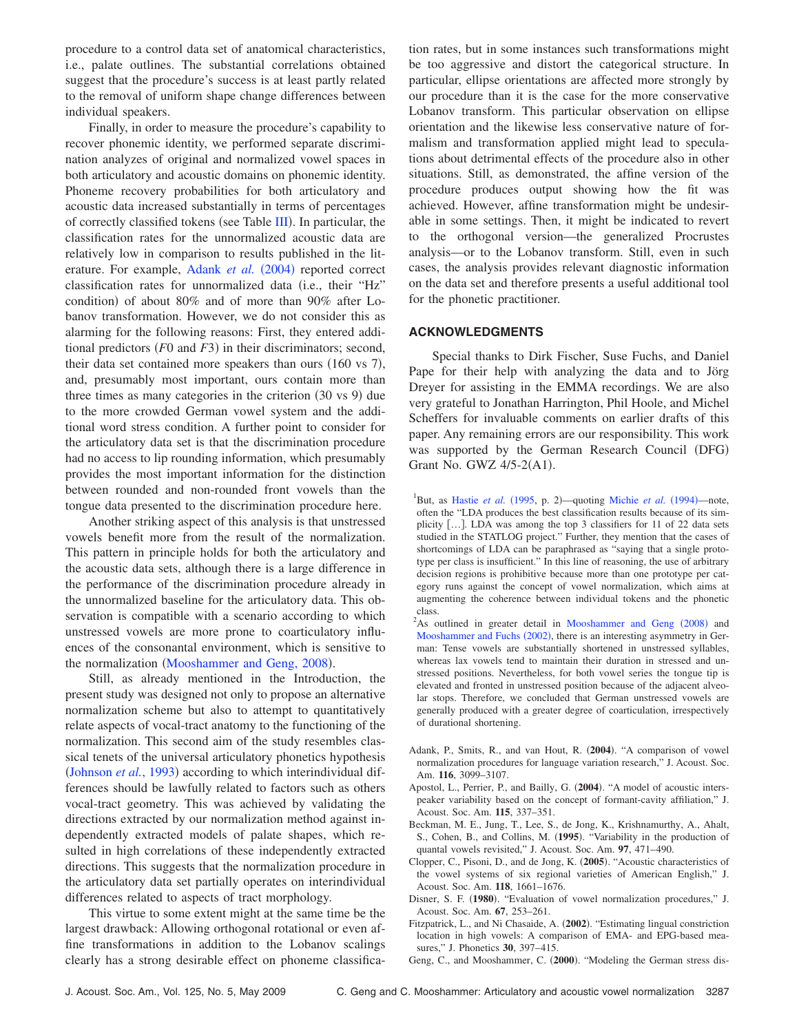procedure to a control data set of anatomical characteristics, i.e., palate outlines. The substantial correlations obtained suggest that the procedure's success is at least partly related to the removal of uniform shape change differences between individual speakers.

Finally, in order to measure the procedure's capability to recover phonemic identity, we performed separate discrimination analyzes of original and normalized vowel spaces in both articulatory and acoustic domains on phonemic identity. Phoneme recovery probabilities for both articulatory and acoustic data increased substantially in terms of percentages of correctly classified tokens (see Table [III](#page-8-0)). In particular, the classification rates for the unnormalized acoustic data are relatively low in comparison to results published in the lit-erature. For example, [Adank](#page-9-0) *et al.* (2004) reported correct classification rates for unnormalized data (i.e., their "Hz" condition) of about  $80\%$  and of more than  $90\%$  after Lobanov transformation. However, we do not consider this as alarming for the following reasons: First, they entered additional predictors  $(F0 \text{ and } F3)$  in their discriminators; second, their data set contained more speakers than ours  $(160 \text{ vs } 7)$ , and, presumably most important, ours contain more than three times as many categories in the criterion  $(30 \text{ vs } 9)$  due to the more crowded German vowel system and the additional word stress condition. A further point to consider for the articulatory data set is that the discrimination procedure had no access to lip rounding information, which presumably provides the most important information for the distinction between rounded and non-rounded front vowels than the tongue data presented to the discrimination procedure here.

Another striking aspect of this analysis is that unstressed vowels benefit more from the result of the normalization. This pattern in principle holds for both the articulatory and the acoustic data sets, although there is a large difference in the performance of the discrimination procedure already in the unnormalized baseline for the articulatory data. This observation is compatible with a scenario according to which unstressed vowels are more prone to coarticulatory influences of the consonantal environment, which is sensitive to the normalization ([Mooshammer and Geng, 2008](#page-10-17)).

Still, as already mentioned in the Introduction, the present study was designed not only to propose an alternative normalization scheme but also to attempt to quantitatively relate aspects of vocal-tract anatomy to the functioning of the normalization. This second aim of the study resembles classical tenets of the universal articulatory phonetics hypothesis ([Johnson](#page-10-13) *et al.*, 1993) according to which interindividual differences should be lawfully related to factors such as others vocal-tract geometry. This was achieved by validating the directions extracted by our normalization method against independently extracted models of palate shapes, which resulted in high correlations of these independently extracted directions. This suggests that the normalization procedure in the articulatory data set partially operates on interindividual differences related to aspects of tract morphology.

This virtue to some extent might at the same time be the largest drawback: Allowing orthogonal rotational or even affine transformations in addition to the Lobanov scalings clearly has a strong desirable effect on phoneme classification rates, but in some instances such transformations might be too aggressive and distort the categorical structure. In particular, ellipse orientations are affected more strongly by our procedure than it is the case for the more conservative Lobanov transform. This particular observation on ellipse orientation and the likewise less conservative nature of formalism and transformation applied might lead to speculations about detrimental effects of the procedure also in other situations. Still, as demonstrated, the affine version of the procedure produces output showing how the fit was achieved. However, affine transformation might be undesirable in some settings. Then, it might be indicated to revert to the orthogonal version—the generalized Procrustes analysis—or to the Lobanov transform. Still, even in such cases, the analysis provides relevant diagnostic information on the data set and therefore presents a useful additional tool for the phonetic practitioner.

# **ACKNOWLEDGMENTS**

Special thanks to Dirk Fischer, Suse Fuchs, and Daniel Pape for their help with analyzing the data and to Jörg Dreyer for assisting in the EMMA recordings. We are also very grateful to Jonathan Harrington, Phil Hoole, and Michel Scheffers for invaluable comments on earlier drafts of this paper. Any remaining errors are our responsibility. This work was supported by the German Research Council (DFG) Grant No. GWZ  $4/5-2(A1)$ .

<sup>1</sup>But, as [Hastie](#page-10-18) *et al.* (1995, p. 2)—quoting [Michie](#page-10-19) *et al.* (1994)—note, often the "LDA produces the best classification results because of its simplicity  $[...]$ . LDA was among the top 3 classifiers for 11 of 22 data sets studied in the STATLOG project." Further, they mention that the cases of shortcomings of LDA can be paraphrased as "saying that a single prototype per class is insufficient." In this line of reasoning, the use of arbitrary decision regions is prohibitive because more than one prototype per category runs against the concept of vowel normalization, which aims at augmenting the coherence between individual tokens and the phonetic class.

 $2$ As outlined in greater detail in [Mooshammer and Geng](#page-10-17)  $(2008)$  and [Mooshammer and Fuchs](#page-10-16) (2002), there is an interesting asymmetry in German: Tense vowels are substantially shortened in unstressed syllables, whereas lax vowels tend to maintain their duration in stressed and unstressed positions. Nevertheless, for both vowel series the tongue tip is elevated and fronted in unstressed position because of the adjacent alveolar stops. Therefore, we concluded that German unstressed vowels are generally produced with a greater degree of coarticulation, irrespectively of durational shortening.

- <span id="page-9-0"></span>Adank, P., Smits, R., and van Hout, R. (2004). "A comparison of vowel normalization procedures for language variation research," J. Acoust. Soc. Am. **116**, 3099–3107.
- <span id="page-9-1"></span>Apostol, L., Perrier, P., and Bailly, G. (2004). "A model of acoustic interspeaker variability based on the concept of formant-cavity affiliation," J. Acoust. Soc. Am. **115**, 337–351.
- <span id="page-9-2"></span>Beckman, M. E., Jung, T., Lee, S., de Jong, K., Krishnamurthy, A., Ahalt, S., Cohen, B., and Collins, M. (1995). "Variability in the production of quantal vowels revisited," J. Acoust. Soc. Am. **97**, 471–490.
- Clopper, C., Pisoni, D., and de Jong, K. (2005). "Acoustic characteristics of the vowel systems of six regional varieties of American English," J. Acoust. Soc. Am. **118**, 1661–1676.
- <span id="page-9-4"></span>Disner, S. F. (1980). "Evaluation of vowel normalization procedures," J. Acoust. Soc. Am. **67**, 253–261.
- <span id="page-9-3"></span>Fitzpatrick, L., and Ni Chasaide, A. (2002). "Estimating lingual constriction location in high vowels: A comparison of EMA- and EPG-based measures," J. Phonetics **30**, 397–415.
- Geng, C., and Mooshammer, C. (2000). "Modeling the German stress dis-